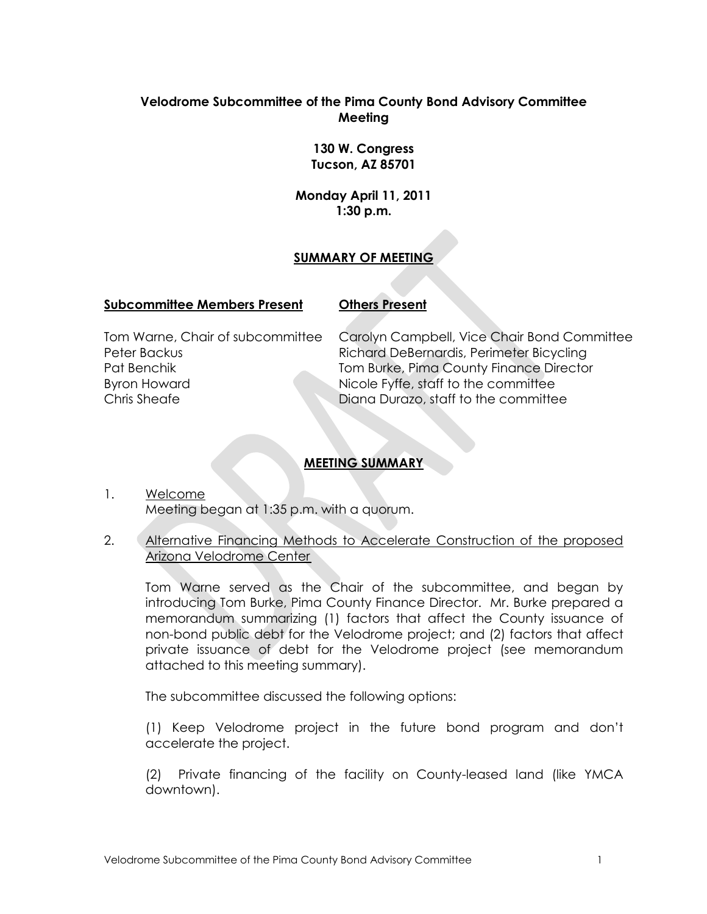# **Velodrome Subcommittee of the Pima County Bond Advisory Committee Meeting**

**130 W. Congress Tucson, AZ 85701**

**Monday April 11, 2011 1:30 p.m.**

## **SUMMARY OF MEETING**

### **Subcommittee Members Present Others Present**

Tom Warne, Chair of subcommittee Peter Backus Pat Benchik Byron Howard Chris Sheafe

Carolyn Campbell, Vice Chair Bond Committee Richard DeBernardis, Perimeter Bicycling Tom Burke, Pima County Finance Director Nicole Fyffe, staff to the committee Diana Durazo, staff to the committee

# **MEETING SUMMARY**

- 1. Welcome Meeting began at 1:35 p.m. with a quorum.
- 2. Alternative Financing Methods to Accelerate Construction of the proposed Arizona Velodrome Center

Tom Warne served as the Chair of the subcommittee, and began by introducing Tom Burke, Pima County Finance Director. Mr. Burke prepared a memorandum summarizing (1) factors that affect the County issuance of non-bond public debt for the Velodrome project; and (2) factors that affect private issuance of debt for the Velodrome project (see memorandum attached to this meeting summary).

The subcommittee discussed the following options:

(1) Keep Velodrome project in the future bond program and don't accelerate the project.

(2) Private financing of the facility on County-leased land (like YMCA downtown).